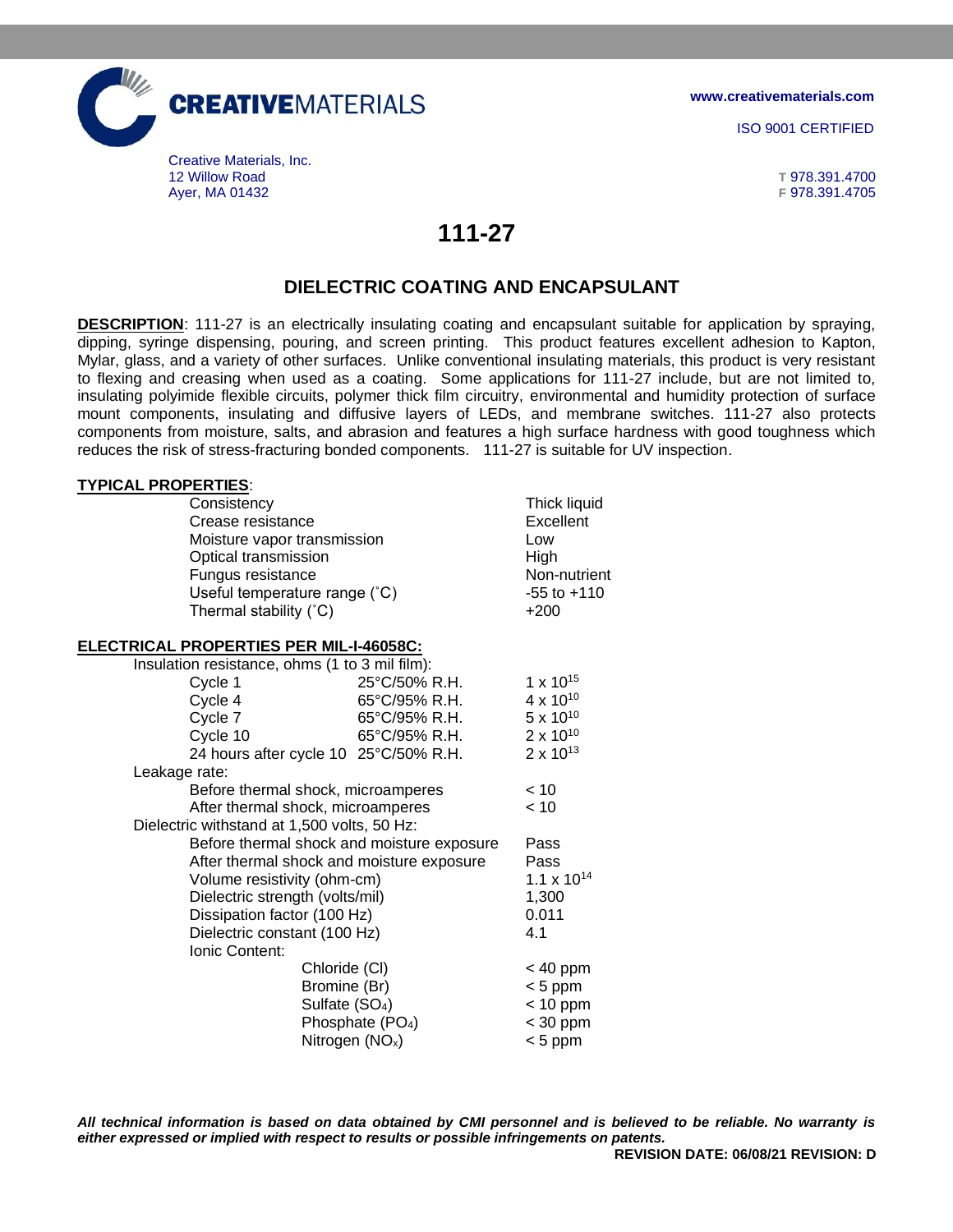

**[www.creativematerials.com](http://www.creativematerials.com/)**

ISO 9001 CERTIFIED

Ayer, MA 01432 **F** 978.391.4705

## **111-27**

## **DIELECTRIC COATING AND ENCAPSULANT**

**DESCRIPTION:** 111-27 is an electrically insulating coating and encapsulant suitable for application by spraying, dipping, syringe dispensing, pouring, and screen printing. This product features excellent adhesion to Kapton, Mylar, glass, and a variety of other surfaces. Unlike conventional insulating materials, this product is very resistant to flexing and creasing when used as a coating. Some applications for 111-27 include, but are not limited to, insulating polyimide flexible circuits, polymer thick film circuitry, environmental and humidity protection of surface mount components, insulating and diffusive layers of LEDs, and membrane switches. 111-27 also protects components from moisture, salts, and abrasion and features a high surface hardness with good toughness which reduces the risk of stress-fracturing bonded components. 111-27 is suitable for UV inspection.

## **TYPICAL PROPERTIES**:

| Consistency                                    |                              | Thick liquid         |
|------------------------------------------------|------------------------------|----------------------|
| Crease resistance                              |                              | Excellent            |
| Moisture vapor transmission                    |                              | Low                  |
| Optical transmission                           |                              | High                 |
| Fungus resistance                              |                              | Non-nutrient         |
| Useful temperature range (°C)                  |                              | $-55$ to $+110$      |
| Thermal stability (°C)                         |                              | $+200$               |
| <b>ELECTRICAL PROPERTIES PER MIL-I-46058C:</b> |                              |                      |
| Insulation resistance, ohms (1 to 3 mil film): |                              |                      |
| Cycle 1                                        | $25^{\circ}$ C/50% R.H.      | $1 \times 10^{15}$   |
| Cycle 4                                        | 65°C/95% R.H.                | $4 \times 10^{10}$   |
| Cycle 7                                        | 65°C/95% R.H.                | $5 \times 10^{10}$   |
| Cycle 10                                       | 65°C/95% R.H.                | $2 \times 10^{10}$   |
| 24 hours after cycle 10 25°C/50% R.H.          |                              | $2 \times 10^{13}$   |
| Leakage rate:                                  |                              |                      |
| Before thermal shock, microamperes             |                              | < 10                 |
| After thermal shock, microamperes              |                              | < 10                 |
| Dielectric withstand at 1,500 volts, 50 Hz:    |                              |                      |
| Before thermal shock and moisture exposure     |                              | Pass                 |
| After thermal shock and moisture exposure      |                              | Pass                 |
| Volume resistivity (ohm-cm)                    |                              | $1.1 \times 10^{14}$ |
| Dielectric strength (volts/mil)                |                              | 1,300                |
| Dissipation factor (100 Hz)                    |                              | 0.011                |
| Dielectric constant (100 Hz)                   |                              | 4.1                  |
| Ionic Content:                                 |                              |                      |
|                                                | Chloride (CI)                | $< 40$ ppm           |
|                                                | Bromine (Br)                 | $< 5$ ppm            |
|                                                | Sulfate (SO <sub>4</sub> )   | $< 10$ ppm           |
|                                                | Phosphate (PO <sub>4</sub> ) | $<$ 30 ppm           |
|                                                | Nitrogen (NO <sub>x</sub> )  | $< 5$ ppm            |
|                                                |                              |                      |

*All technical information is based on data obtained by CMI personnel and is believed to be reliable. No warranty is either expressed or implied with respect to results or possible infringements on patents.*